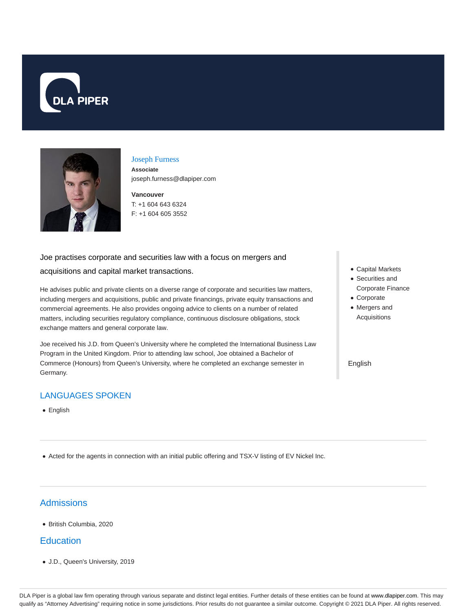



## Joseph Furness

**Associate** joseph.furness@dlapiper.com

**Vancouver** T: +1 604 643 6324 F: +1 604 605 3552

# Joe practises corporate and securities law with a focus on mergers and

## acquisitions and capital market transactions.

He advises public and private clients on a diverse range of corporate and securities law matters, including mergers and acquisitions, public and private financings, private equity transactions and commercial agreements. He also provides ongoing advice to clients on a number of related matters, including securities regulatory compliance, continuous disclosure obligations, stock exchange matters and general corporate law.

Joe received his J.D. from Queen's University where he completed the International Business Law Program in the United Kingdom. Prior to attending law school, Joe obtained a Bachelor of Commerce (Honours) from Queen's University, where he completed an exchange semester in Germany.

# LANGUAGES SPOKEN

• English

- Capital Markets Securities and
- Corporate Finance Corporate
- Mergers and Acquisitions

## English

Acted for the agents in connection with an initial public offering and TSX-V listing of EV Nickel Inc.

# **Admissions**

British Columbia, 2020

# **Education**

J.D., Queen's University, 2019

DLA Piper is a global law firm operating through various separate and distinct legal entities. Further details of these entities can be found at www.dlapiper.com. This may qualify as "Attorney Advertising" requiring notice in some jurisdictions. Prior results do not guarantee a similar outcome. Copyright @ 2021 DLA Piper. All rights reserved.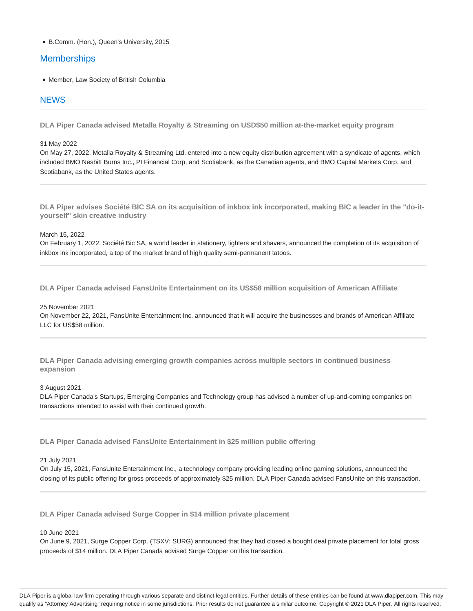B.Comm. (Hon.), Queen's University, 2015

## **Memberships**

Member, Law Society of British Columbia

## **NEWS**

**DLA Piper Canada advised Metalla Royalty & Streaming on USD\$50 million at-the-market equity program**

31 May 2022

On May 27, 2022, Metalla Royalty & Streaming Ltd. entered into a new equity distribution agreement with a syndicate of agents, which included BMO Nesbitt Burns Inc., PI Financial Corp, and Scotiabank, as the Canadian agents, and BMO Capital Markets Corp. and Scotiabank, as the United States agents.

**DLA Piper advises Société BIC SA on its acquisition of inkbox ink incorporated, making BIC a leader in the "do-ityourself" skin creative industry** 

March 15, 2022

On February 1, 2022, Société Bic SA, a world leader in stationery, lighters and shavers, announced the completion of its acquisition of inkbox ink incorporated, a top of the market brand of high quality semi-permanent tatoos.

**DLA Piper Canada advised FansUnite Entertainment on its US\$58 million acquisition of American Affiliate**

#### 25 November 2021

On November 22, 2021, FansUnite Entertainment Inc. announced that it will acquire the businesses and brands of American Affiliate LLC for US\$58 million.

**DLA Piper Canada advising emerging growth companies across multiple sectors in continued business expansion**

#### 3 August 2021

DLA Piper Canada's Startups, Emerging Companies and Technology group has advised a number of up-and-coming companies on transactions intended to assist with their continued growth.

**DLA Piper Canada advised FansUnite Entertainment in \$25 million public offering**

21 July 2021

On July 15, 2021, FansUnite Entertainment Inc., a technology company providing leading online gaming solutions, announced the closing of its public offering for gross proceeds of approximately \$25 million. DLA Piper Canada advised FansUnite on this transaction.

**DLA Piper Canada advised Surge Copper in \$14 million private placement**

## 10 June 2021

On June 9, 2021, Surge Copper Corp. (TSXV: SURG) announced that they had closed a bought deal private placement for total gross proceeds of \$14 million. DLA Piper Canada advised Surge Copper on this transaction.

DLA Piper is a global law firm operating through various separate and distinct legal entities. Further details of these entities can be found at www.dlapiper.com. This may qualify as "Attorney Advertising" requiring notice in some jurisdictions. Prior results do not guarantee a similar outcome. Copyright @ 2021 DLA Piper. All rights reserved.